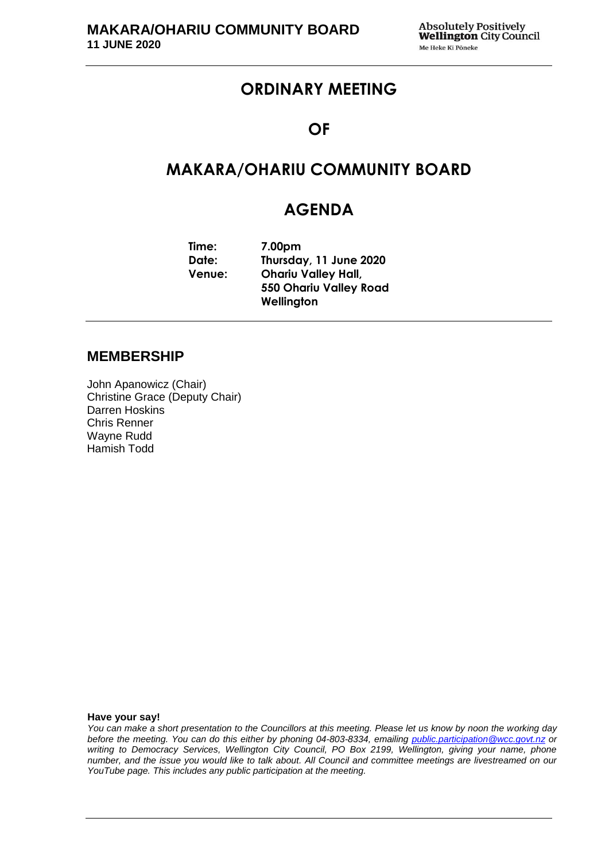### **ORDINARY MEETING**

### **OF**

### **MAKARA/OHARIU COMMUNITY BOARD**

### **AGENDA**

| Time:         | 7.00pm                        |
|---------------|-------------------------------|
| Date:         | Thursday, 11 June 2020        |
| <b>Venue:</b> | <b>Ohariu Valley Hall,</b>    |
|               | <b>550 Ohariu Valley Road</b> |
|               | Wellington                    |

#### **MEMBERSHIP**

John Apanowicz (Chair) Christine Grace (Deputy Chair) Darren Hoskins Chris Renner Wayne Rudd Hamish Todd

**Have your say!**

*You can make a short presentation to the Councillors at this meeting. Please let us know by noon the working day before the meeting. You can do this either by phoning 04-803-8334, emailing public.participation@wcc.govt.nz or writing to Democracy Services, Wellington City Council, PO Box 2199, Wellington, giving your name, phone number, and the issue you would like to talk about. All Council and committee meetings are livestreamed on our YouTube page. This includes any public participation at the meeting.*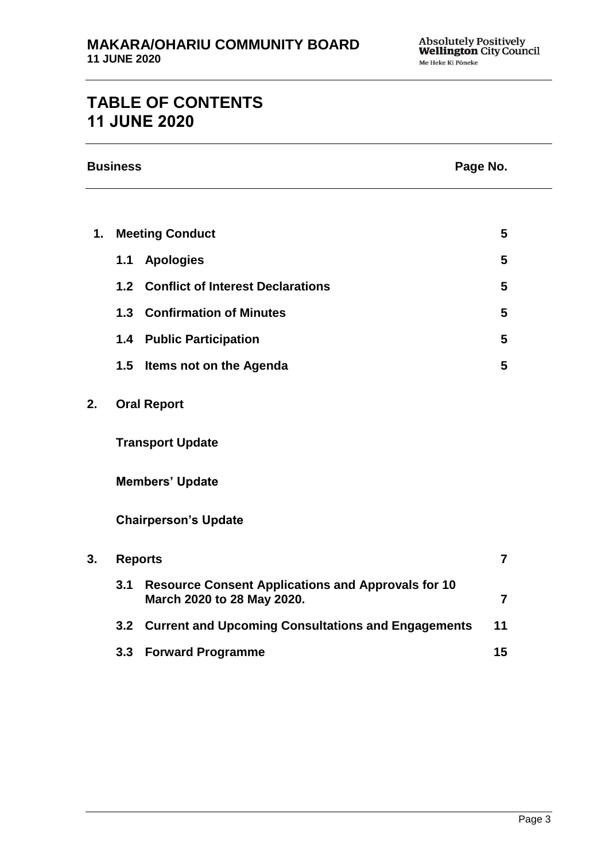## **TABLE OF CONTENTS 11 JUNE 2020**

|    | <b>Business</b> |                                                                                         | Page No.       |
|----|-----------------|-----------------------------------------------------------------------------------------|----------------|
|    |                 |                                                                                         |                |
| 1. |                 | <b>Meeting Conduct</b>                                                                  | 5              |
|    | 1.1             | <b>Apologies</b>                                                                        | 5              |
|    | 1.2             | <b>Conflict of Interest Declarations</b>                                                | 5              |
|    | 1.3             | <b>Confirmation of Minutes</b>                                                          | 5              |
|    |                 | <b>1.4 Public Participation</b>                                                         | 5              |
|    | 1.5             | Items not on the Agenda                                                                 | 5              |
| 2. |                 | <b>Oral Report</b>                                                                      |                |
|    |                 | <b>Transport Update</b>                                                                 |                |
|    |                 | <b>Members' Update</b>                                                                  |                |
|    |                 | <b>Chairperson's Update</b>                                                             |                |
| 3. |                 | <b>Reports</b>                                                                          | $\overline{7}$ |
|    | 3.1             | <b>Resource Consent Applications and Approvals for 10</b><br>March 2020 to 28 May 2020. | $\overline{7}$ |
|    | 3.2             | <b>Current and Upcoming Consultations and Engagements</b>                               | 11             |
|    | 3.3             | <b>Forward Programme</b>                                                                | 15             |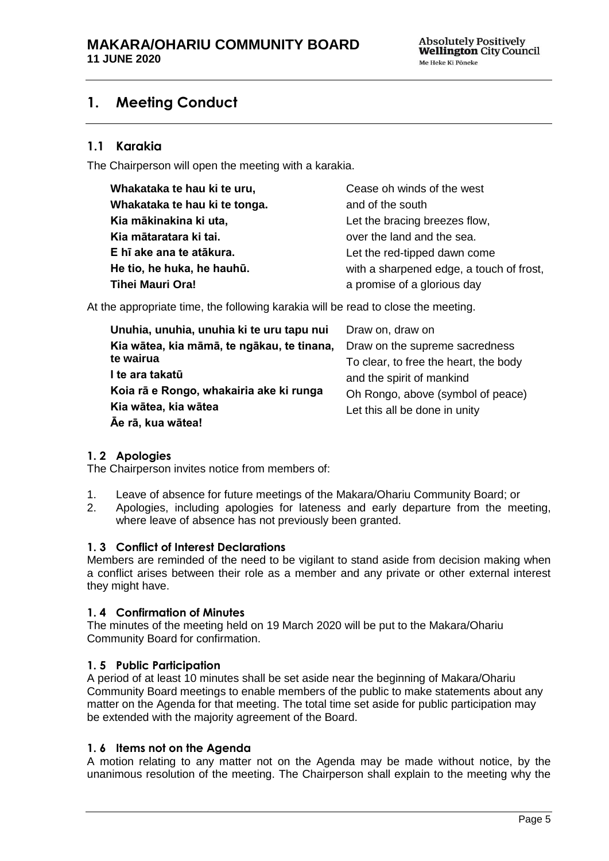### <span id="page-4-0"></span>**1. Meeting Conduct**

#### **1.1 Karakia**

The Chairperson will open the meeting with a karakia.

| Whakataka te hau ki te uru,   | Cease oh winds of the west               |
|-------------------------------|------------------------------------------|
| Whakataka te hau ki te tonga. | and of the south                         |
| Kia mākinakina ki uta,        | Let the bracing breezes flow,            |
| Kia mātaratara ki tai.        | over the land and the sea.               |
| E hī ake ana te atākura.      | Let the red-tipped dawn come             |
| He tio, he huka, he hauhū.    | with a sharpened edge, a touch of frost, |
| Tihei Mauri Ora!              | a promise of a glorious day              |

At the appropriate time, the following karakia will be read to close the meeting.

| Unuhia, unuhia, unuhia ki te uru tapu nui  | Draw on, draw on                      |
|--------------------------------------------|---------------------------------------|
| Kia wātea, kia māmā, te ngākau, te tinana, | Draw on the supreme sacredness        |
| te wairua                                  | To clear, to free the heart, the body |
| I te ara takatū                            | and the spirit of mankind             |
| Koia rā e Rongo, whakairia ake ki runga    | Oh Rongo, above (symbol of peace)     |
| Kia wātea, kia wātea                       | Let this all be done in unity         |
| Āe rā, kua wātea!                          |                                       |

#### <span id="page-4-1"></span>**1. 2 Apologies**

The Chairperson invites notice from members of:

- 1. Leave of absence for future meetings of the Makara/Ohariu Community Board; or
- 2. Apologies, including apologies for lateness and early departure from the meeting, where leave of absence has not previously been granted.

#### <span id="page-4-2"></span>**1. 3 Conflict of Interest Declarations**

Members are reminded of the need to be vigilant to stand aside from decision making when a conflict arises between their role as a member and any private or other external interest they might have.

#### <span id="page-4-3"></span>**1. 4 Confirmation of Minutes**

The minutes of the meeting held on 19 March 2020 will be put to the Makara/Ohariu Community Board for confirmation.

#### <span id="page-4-4"></span>**1. 5 Public Participation**

A period of at least 10 minutes shall be set aside near the beginning of Makara/Ohariu Community Board meetings to enable members of the public to make statements about any matter on the Agenda for that meeting. The total time set aside for public participation may be extended with the majority agreement of the Board.

#### <span id="page-4-5"></span>**1. 6 Items not on the Agenda**

A motion relating to any matter not on the Agenda may be made without notice, by the unanimous resolution of the meeting. The Chairperson shall explain to the meeting why the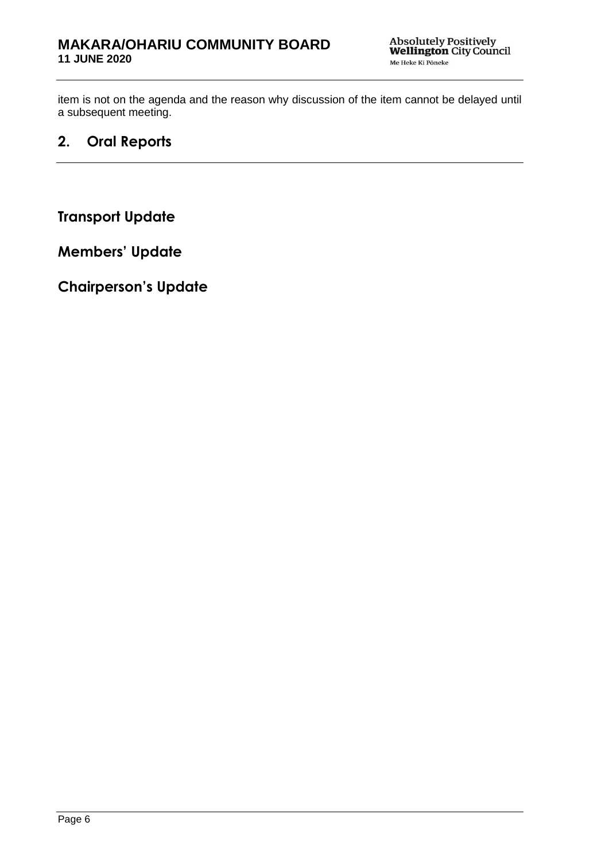item is not on the agenda and the reason why discussion of the item cannot be delayed until a subsequent meeting.

### **2. Oral Reports**

**Transport Update**

**Members' Update** 

**Chairperson's Update**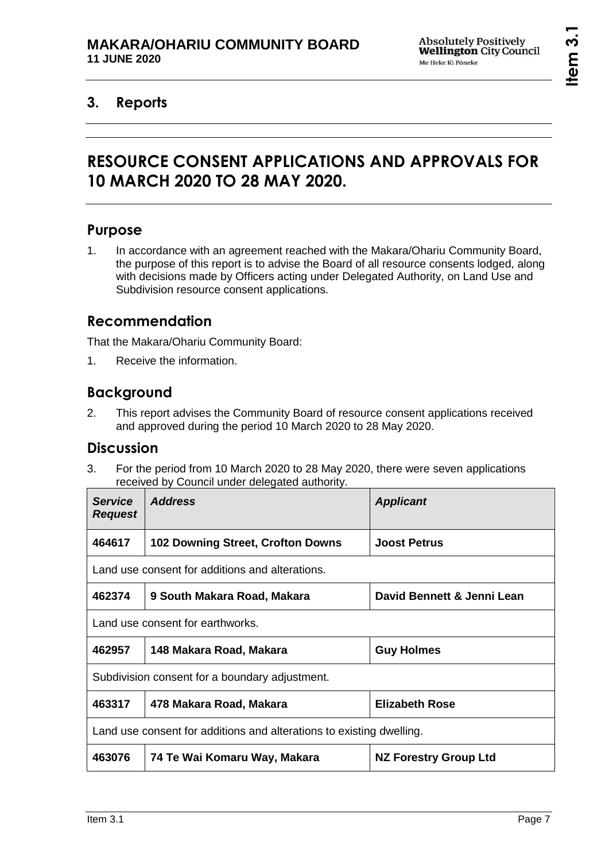### <span id="page-6-1"></span><span id="page-6-0"></span>**3. Reports**

## **RESOURCE CONSENT APPLICATIONS AND APPROVALS FOR 10 MARCH 2020 TO 28 MAY 2020.**

### **Purpose**

1. In accordance with an agreement reached with the Makara/Ohariu Community Board, the purpose of this report is to advise the Board of all resource consents lodged, along with decisions made by Officers acting under Delegated Authority, on Land Use and Subdivision resource consent applications.

### **Recommendation**

That the Makara/Ohariu Community Board:

1. Receive the information.

### **Background**

2. This report advises the Community Board of resource consent applications received and approved during the period 10 March 2020 to 28 May 2020.

#### **Discussion**

3. For the period from 10 March 2020 to 28 May 2020, there were seven applications received by Council under delegated authority.

| <b>Service</b><br><b>Request</b>                                     | <b>Address</b>                    | <b>Applicant</b>           |
|----------------------------------------------------------------------|-----------------------------------|----------------------------|
| 464617                                                               | 102 Downing Street, Crofton Downs | <b>Joost Petrus</b>        |
| Land use consent for additions and alterations.                      |                                   |                            |
| 462374                                                               | 9 South Makara Road, Makara       | David Bennett & Jenni Lean |
| Land use consent for earthworks.                                     |                                   |                            |
| 462957                                                               | 148 Makara Road, Makara           | <b>Guy Holmes</b>          |
| Subdivision consent for a boundary adjustment.                       |                                   |                            |
| 463317                                                               | 478 Makara Road, Makara           | <b>Elizabeth Rose</b>      |
| Land use consent for additions and alterations to existing dwelling. |                                   |                            |
| 463076                                                               | 74 Te Wai Komaru Way, Makara      | NZ Forestry Group Ltd      |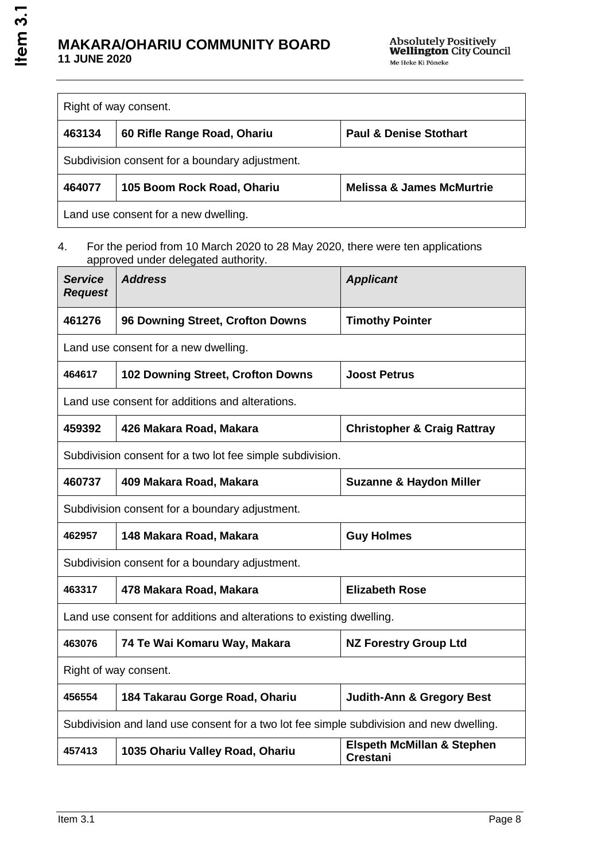#### **MAKARA/OHARIU COMMUNITY BOARD 11 JUNE 2020**

| Right of way consent. |                                                |                                      |
|-----------------------|------------------------------------------------|--------------------------------------|
| 463134                | 60 Rifle Range Road, Ohariu                    | <b>Paul &amp; Denise Stothart</b>    |
|                       | Subdivision consent for a boundary adjustment. |                                      |
| 464077                | 105 Boom Rock Road, Ohariu                     | <b>Melissa &amp; James McMurtrie</b> |
|                       | Land use consent for a new dwelling.           |                                      |

#### 4. For the period from 10 March 2020 to 28 May 2020, there were ten applications approved under delegated authority.

| <b>Service</b><br><b>Request</b>                                     | <b>Address</b>                                                                          | <b>Applicant</b>                                         |
|----------------------------------------------------------------------|-----------------------------------------------------------------------------------------|----------------------------------------------------------|
| 461276                                                               | 96 Downing Street, Crofton Downs                                                        | <b>Timothy Pointer</b>                                   |
|                                                                      | Land use consent for a new dwelling.                                                    |                                                          |
| 464617                                                               | 102 Downing Street, Crofton Downs                                                       | <b>Joost Petrus</b>                                      |
| Land use consent for additions and alterations.                      |                                                                                         |                                                          |
| 459392                                                               | 426 Makara Road, Makara                                                                 | <b>Christopher &amp; Craig Rattray</b>                   |
| Subdivision consent for a two lot fee simple subdivision.            |                                                                                         |                                                          |
| 460737                                                               | 409 Makara Road, Makara                                                                 | <b>Suzanne &amp; Haydon Miller</b>                       |
| Subdivision consent for a boundary adjustment.                       |                                                                                         |                                                          |
| 462957                                                               | 148 Makara Road, Makara                                                                 | <b>Guy Holmes</b>                                        |
| Subdivision consent for a boundary adjustment.                       |                                                                                         |                                                          |
| 463317                                                               | 478 Makara Road, Makara                                                                 | <b>Elizabeth Rose</b>                                    |
| Land use consent for additions and alterations to existing dwelling. |                                                                                         |                                                          |
| 463076                                                               | 74 Te Wai Komaru Way, Makara                                                            | <b>NZ Forestry Group Ltd</b>                             |
| Right of way consent.                                                |                                                                                         |                                                          |
| 456554                                                               | 184 Takarau Gorge Road, Ohariu                                                          | <b>Judith-Ann &amp; Gregory Best</b>                     |
|                                                                      | Subdivision and land use consent for a two lot fee simple subdivision and new dwelling. |                                                          |
| 457413                                                               | 1035 Ohariu Valley Road, Ohariu                                                         | <b>Elspeth McMillan &amp; Stephen</b><br><b>Crestani</b> |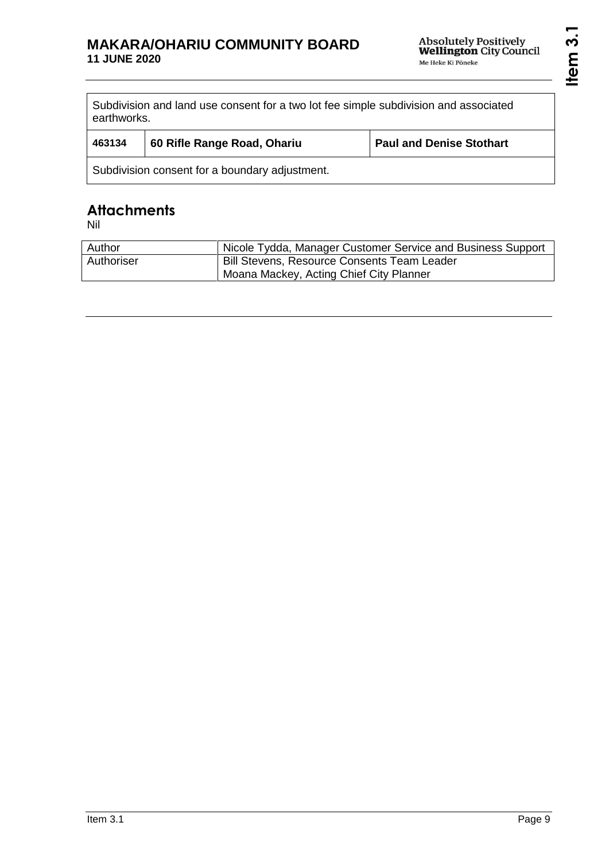#### **MAKARA/OHARIU COMMUNITY BOARD 11 JUNE 2020**

| 463134 | 60 Rifle Range Road, Ohariu                                                                         | <b>Paul and Denise Stothart</b> |
|--------|-----------------------------------------------------------------------------------------------------|---------------------------------|
|        | Subdivision and land use consent for a two lot fee simple subdivision and associated<br>earthworks. |                                 |

Subdivision consent for a boundary adjustment.

### **Attachments**

Nil

| Author     | Nicole Tydda, Manager Customer Service and Business Support |
|------------|-------------------------------------------------------------|
| Authoriser | <b>Bill Stevens, Resource Consents Team Leader</b>          |
|            | Moana Mackey, Acting Chief City Planner                     |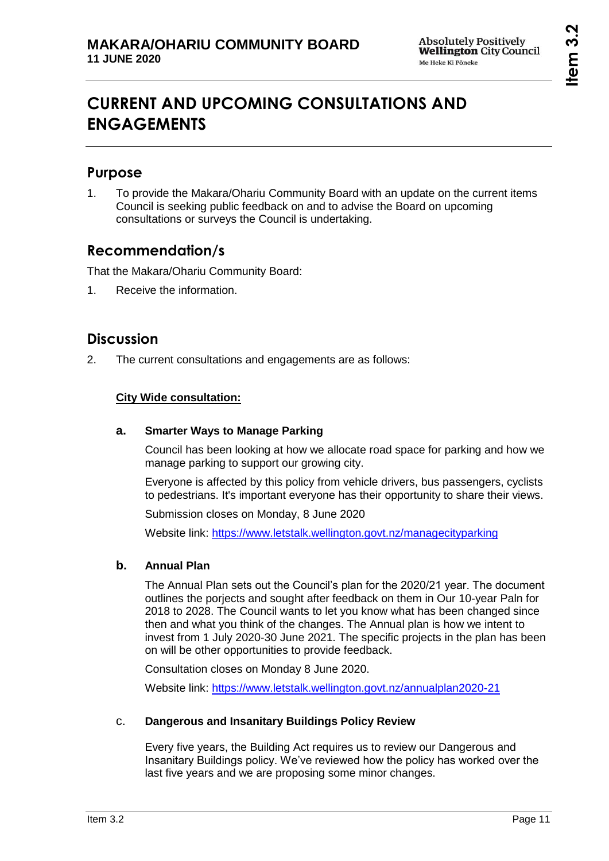# <span id="page-10-0"></span>**CURRENT AND UPCOMING CONSULTATIONS AND ENGAGEMENTS**

### **Purpose**

1. To provide the Makara/Ohariu Community Board with an update on the current items Council is seeking public feedback on and to advise the Board on upcoming consultations or surveys the Council is undertaking.

### **Recommendation/s**

That the Makara/Ohariu Community Board:

1. Receive the information.

### **Discussion**

2. The current consultations and engagements are as follows:

#### **City Wide consultation:**

#### **a. Smarter Ways to Manage Parking**

Council has been looking at how we allocate road space for parking and how we manage parking to support our growing city.

Everyone is affected by this policy from vehicle drivers, bus passengers, cyclists to pedestrians. It's important everyone has their opportunity to share their views.

Submission closes on Monday, 8 June 2020

Website link:<https://www.letstalk.wellington.govt.nz/managecityparking>

#### **b. Annual Plan**

The Annual Plan sets out the Council's plan for the 2020/21 year. The document outlines the porjects and sought after feedback on them in Our 10-year Paln for 2018 to 2028. The Council wants to let you know what has been changed since then and what you think of the changes. The Annual plan is how we intent to invest from 1 July 2020-30 June 2021. The specific projects in the plan has been on will be other opportunities to provide feedback.

Consultation closes on Monday 8 June 2020.

Website link:<https://www.letstalk.wellington.govt.nz/annualplan2020-21>

#### c. **Dangerous and Insanitary Buildings Policy Review**

Every five years, the Building Act requires us to review our Dangerous and Insanitary Buildings policy. We've reviewed how the policy has worked over the last five years and we are proposing some minor changes.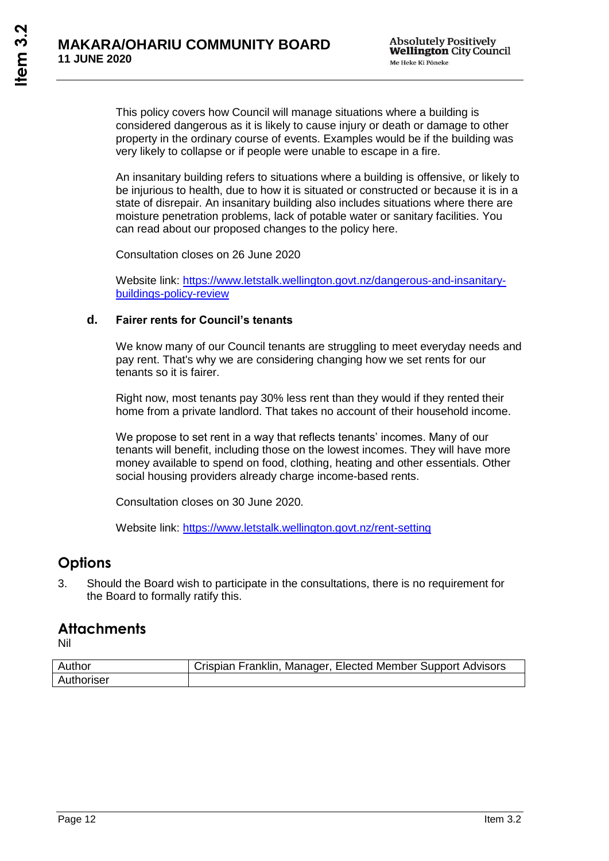This policy covers how Council will manage situations where a building is considered dangerous as it is likely to cause injury or death or damage to other property in the ordinary course of events. Examples would be if the building was very likely to collapse or if people were unable to escape in a fire.

An insanitary building refers to situations where a building is offensive, or likely to be injurious to health, due to how it is situated or constructed or because it is in a state of disrepair. An insanitary building also includes situations where there are moisture penetration problems, lack of potable water or sanitary facilities. You can read about our proposed changes to the policy here.

Consultation closes on 26 June 2020

Website link: [https://www.letstalk.wellington.govt.nz/dangerous-and-insanitary](https://www.letstalk.wellington.govt.nz/dangerous-and-insanitary-buildings-policy-review)[buildings-policy-review](https://www.letstalk.wellington.govt.nz/dangerous-and-insanitary-buildings-policy-review)

#### **d. Fairer rents for Council's tenants**

We know many of our Council tenants are struggling to meet everyday needs and pay rent. That's why we are considering changing how we set rents for our tenants so it is fairer.

Right now, most tenants pay 30% less rent than they would if they rented their home from a private landlord. That takes no account of their household income.

We propose to set rent in a way that reflects tenants' incomes. Many of our tenants will benefit, including those on the lowest incomes. They will have more money available to spend on food, clothing, heating and other essentials. Other social housing providers already charge income-based rents.

Consultation closes on 30 June 2020.

Website link:<https://www.letstalk.wellington.govt.nz/rent-setting>

### **Options**

3. Should the Board wish to participate in the consultations, there is no requirement for the Board to formally ratify this.

#### **Attachments**

Nil

| Author     | Crispian Franklin, Manager, Elected Member Support Advisors |
|------------|-------------------------------------------------------------|
| Authoriser |                                                             |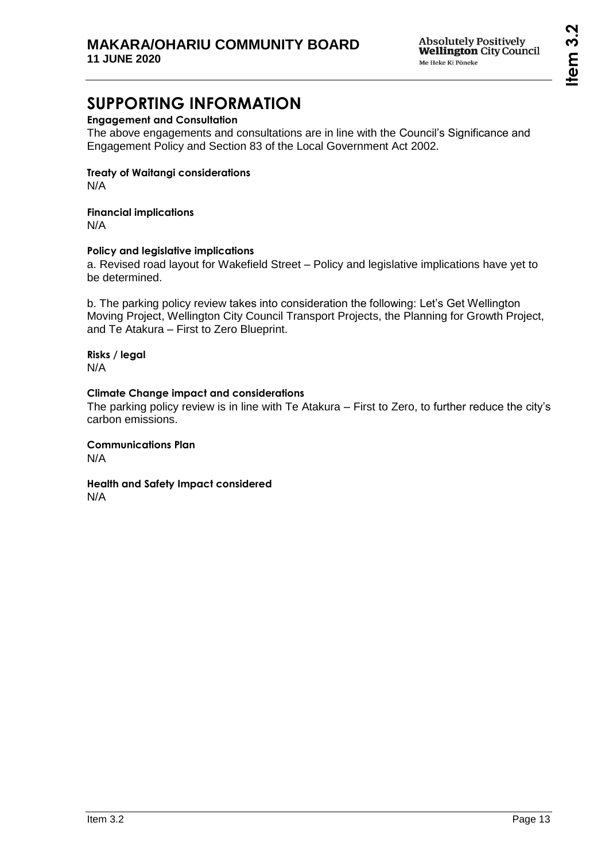# **SUPPORTING INFORMATION**

#### **Engagement and Consultation**

The above engagements and consultations are in line with the Council's Significance and Engagement Policy and Section 83 of the Local Government Act 2002.

#### **Treaty of Waitangi considerations** N/A

**Financial implications** N/A

#### **Policy and legislative implications**

a. Revised road layout for Wakefield Street – Policy and legislative implications have yet to be determined.

b. The parking policy review takes into consideration the following: Let's Get Wellington Moving Project, Wellington City Council Transport Projects, the Planning for Growth Project, and Te Atakura – First to Zero Blueprint.

**Risks / legal**  N/A

#### **Climate Change impact and considerations**

The parking policy review is in line with Te Atakura – First to Zero, to further reduce the city's carbon emissions.

**Communications Plan** N/A

**Health and Safety Impact considered** N/A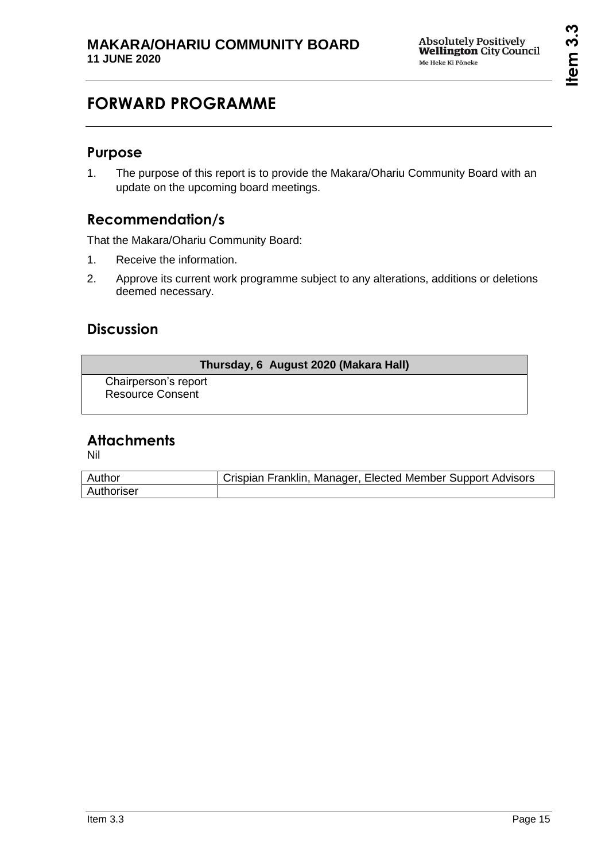# <span id="page-14-0"></span>**FORWARD PROGRAMME**

#### **Purpose**

1. The purpose of this report is to provide the Makara/Ohariu Community Board with an update on the upcoming board meetings.

### **Recommendation/s**

That the Makara/Ohariu Community Board:

- 1. Receive the information.
- 2. Approve its current work programme subject to any alterations, additions or deletions deemed necessary.

### **Discussion**

#### **Thursday, 6 August 2020 (Makara Hall)**

Chairperson's report Resource Consent

### **Attachments**

Nil

| Author     | Crispian Franklin, Manager, Elected Member Support Advisors |
|------------|-------------------------------------------------------------|
| Authoriser |                                                             |